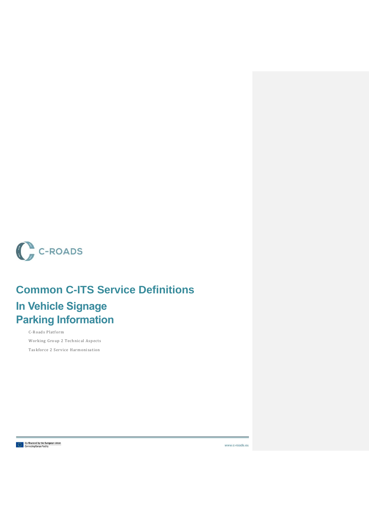

# **Common C-ITS Service Definitions**

## **In Vehicle Signage Parking Information**

C-Roads Platform Working Group 2 Technical Aspects Taskforce 2 Service Harmonisation

**Co-financed by the European Union**<br> $\frac{1}{2}$  Connecting Europe Facility

www.c-roads.eu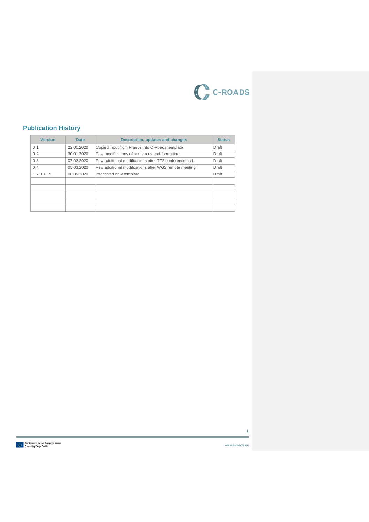

#### **Publication History**

| <b>Version</b> | <b>Date</b> | Description, updates and changes                       | <b>Status</b> |
|----------------|-------------|--------------------------------------------------------|---------------|
| 0.1            | 22.01.2020  | Copied input from France into C-Roads template         | Draft         |
| 0.2            | 30.01.2020  | Few modifications of sentences and formatting          | Draft         |
| 0.3            | 07.02.2020  | Few additional modifications after TF2 conference call | Draft         |
| 0.4            | 05.03.2020  | Few additional modifications after WG2 remote meeting  | Draft         |
| 1.7.0.TF.5     | 08.05.2020  | Integrated new template                                | Draft         |
|                |             |                                                        |               |
|                |             |                                                        |               |
|                |             |                                                        |               |
|                |             |                                                        |               |
|                |             |                                                        |               |

**Co-financed by the European Union**<br>**Connecting Europe Facility** 

1

www.c-roads.eu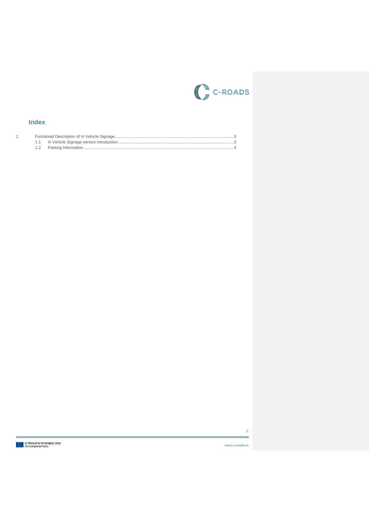

#### **Index**

 $\overline{1}$ 

 $\overline{2}$ 

www.c-roads.eu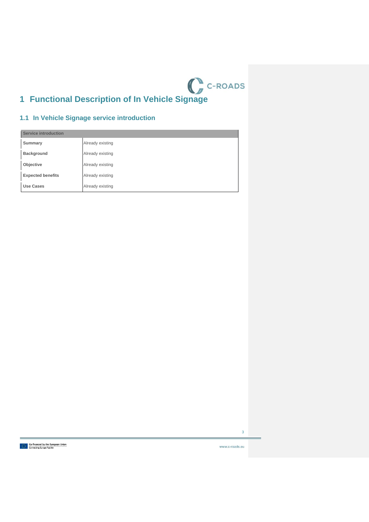

### <span id="page-3-1"></span><span id="page-3-0"></span>**1.1 In Vehicle Signage service introduction**

| <b>Service introduction</b> |                  |  |
|-----------------------------|------------------|--|
| Summary                     | Already existing |  |
| <b>Background</b>           | Already existing |  |
| Objective                   | Already existing |  |
| <b>Expected benefits</b>    | Already existing |  |
| Use Cases                   | Already existing |  |



www.c-roads.eu

3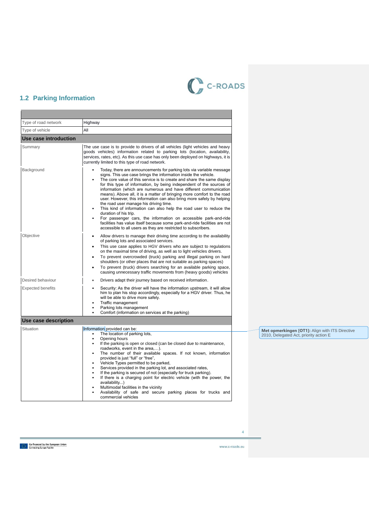

### <span id="page-4-0"></span>**1.2 Parking Information**

| Type of road network     | Highway                                                                                                                                                                                                                                                                                                                                                                                                                                                                                                                                                                                                                                                                                                                                                                                                                                                                     |
|--------------------------|-----------------------------------------------------------------------------------------------------------------------------------------------------------------------------------------------------------------------------------------------------------------------------------------------------------------------------------------------------------------------------------------------------------------------------------------------------------------------------------------------------------------------------------------------------------------------------------------------------------------------------------------------------------------------------------------------------------------------------------------------------------------------------------------------------------------------------------------------------------------------------|
| Type of vehicle          | All                                                                                                                                                                                                                                                                                                                                                                                                                                                                                                                                                                                                                                                                                                                                                                                                                                                                         |
| Use case introduction    |                                                                                                                                                                                                                                                                                                                                                                                                                                                                                                                                                                                                                                                                                                                                                                                                                                                                             |
| Summary                  | The use case is to provide to drivers of all vehicles (light vehicles and heavy<br>goods vehicles) information related to parking lots (location, availability,<br>services, rates, etc). As this use case has only been deployed on highways, it is<br>currently limited to this type of road network.                                                                                                                                                                                                                                                                                                                                                                                                                                                                                                                                                                     |
| Background               | Today, there are announcements for parking lots via variable message<br>signs. This use case brings the information inside the vehicle.<br>The core value of this service is to create and share the same display<br>for this type of information, by being independent of the sources of<br>information (which are numerous and have different communication<br>means). Above all, it is a matter of bringing more comfort to the road<br>user. However, this information can also bring more safety by helping<br>the road user manage his driving time.<br>This kind of information can also help the road user to reduce the<br>duration of his trip.<br>For passenger cars, the information on accessible park-and-ride<br>facilities has value itself because some park-and-ride facilities are not<br>accessible to all users as they are restricted to subscribers. |
| Objective                | Allow drivers to manage their driving time according to the availability<br>$\bullet$<br>of parking lots and associated services.<br>This use case applies to HGV drivers who are subject to regulations<br>on the maximal time of driving, as well as to light vehicles drivers.<br>To prevent overcrowded (truck) parking and illegal parking on hard<br>$\bullet$<br>shoulders (or other places that are not suitable as parking spaces)<br>To prevent (truck) drivers searching for an available parking space,<br>causing unnecessary traffic movements from (heavy goods) vehicles                                                                                                                                                                                                                                                                                    |
| Desired behaviour        | Drivers adapt their journey based on received information.<br>$\bullet$                                                                                                                                                                                                                                                                                                                                                                                                                                                                                                                                                                                                                                                                                                                                                                                                     |
| <b>Expected benefits</b> | Security: As the driver will have the information upstream, it will allow<br>him to plan his stop accordingly, especially for a HGV driver. Thus, he<br>will be able to drive more safely.<br>Traffic management<br>Parking lots management<br>Comfort (information on services at the parking)<br>$\bullet$                                                                                                                                                                                                                                                                                                                                                                                                                                                                                                                                                                |
| Use case description     |                                                                                                                                                                                                                                                                                                                                                                                                                                                                                                                                                                                                                                                                                                                                                                                                                                                                             |
| Situation                | Information provided can be:<br>The location of parking lots,<br>$\bullet$<br>Opening hours<br>$\bullet$<br>If the parking is open or closed (can be closed due to maintenance,<br>roadworks, event in the area,).<br>The number of their available spaces. If not known, information<br>$\bullet$<br>provided is just "full" or "free",<br>Vehicle Types permitted to be parked,<br>Services provided in the parking lot, and associated rates,<br>$\bullet$<br>If the parking is secured of not (especially for truck parking).<br>$\bullet$<br>If there is a charging point for electric vehicle (with the power, the<br>$\bullet$<br>availability)<br>Multimodal facilities in the vicinity<br>Availability of safe and secure parking places for trucks and<br>commercial vehicles                                                                                     |

**Co-financed by the European Union**<br> $\frac{1}{2}$  .... Connecting Europe Facility

www.c-roads.eu

4